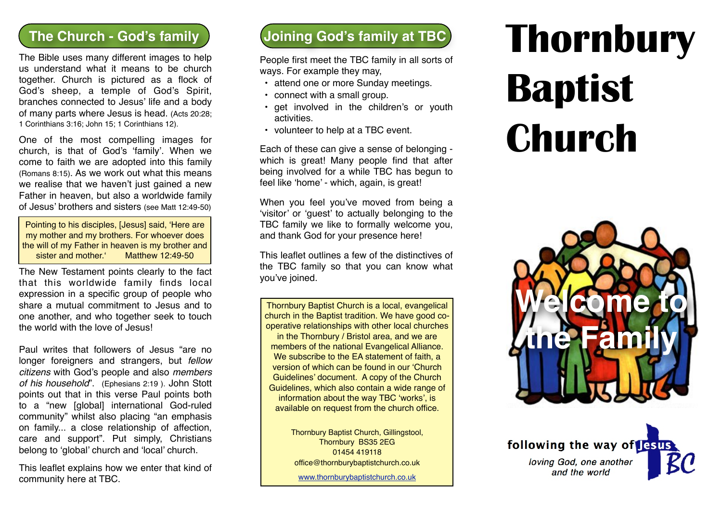The Bible uses many different images to help us understand what it means to be church together. Church is pictured as a flock of God's sheep, a temple of God's Spirit, branches connected to Jesus' life and a body of many parts where Jesus is head. (Acts 20:28; 1 Corinthians 3:16; John 15; 1 Corinthians 12).

One of the most compelling images for church, is that of God's 'family'. When we come to faith we are adopted into this family (Romans 8:15). As we work out what this means we realise that we haven't just gained a new Father in heaven, but also a worldwide family of Jesus' brothers and sisters (see Matt 12:49-50)

Pointing to his disciples, [Jesus] said, 'Here are my mother and my brothers. For whoever does the will of my Father in heaven is my brother and sister and mother.' Matthew 12:49-50

The New Testament points clearly to the fact that this worldwide family finds local expression in a specific group of people who share a mutual commitment to Jesus and to one another, and who together seek to touch the world with the love of Jesus!

Paul writes that followers of Jesus "are no longer foreigners and strangers, but *fellow citizens* with God's people and also *members of his household*". (Ephesians 2:19 ). John Stott points out that in this verse Paul points both to a "new [global] international God-ruled community" whilst also placing "an emphasis on family... a close relationship of affection, care and support". Put simply, Christians belong to 'global' church and 'local' church.

This leaflet explains how we enter that kind of community here at TBC.

# **The Church - God's family Joining God's family at TBC**

People first meet the TBC family in all sorts of ways. For example they may,

- attend one or more Sunday meetings.
- connect with a small group.
- get involved in the children's or youth activities.
- volunteer to help at a TBC event.

Each of these can give a sense of belonging which is great! Many people find that after being involved for a while TBC has begun to feel like 'home' - which, again, is great!

When you feel you've moved from being a 'visitor' or 'guest' to actually belonging to the TBC family we like to formally welcome you, and thank God for your presence here!

This leaflet outlines a few of the distinctives of the TBC family so that you can know what you've joined.

Thornbury Baptist Church is a local, evangelical church in the Baptist tradition. We have good cooperative relationships with other local churches in the Thornbury / Bristol area, and we are members of the national Evangelical Alliance. We subscribe to the EA statement of faith, a version of which can be found in our 'Church Guidelines' document. A copy of the Church Guidelines, which also contain a wide range of information about the way TBC 'works', is available on request from the church office.

> Thornbury Baptist Church, Gillingstool, Thornbury BS35 2EG 01454 419118 office@thornburybaptistchurch.co.uk

[www.thornburybaptistchurch.co.uk](http://www.thornburybaptistchurch.co.uk)

# **Thornbury Baptist Church**



following the way of lesus loving God, one another and the world